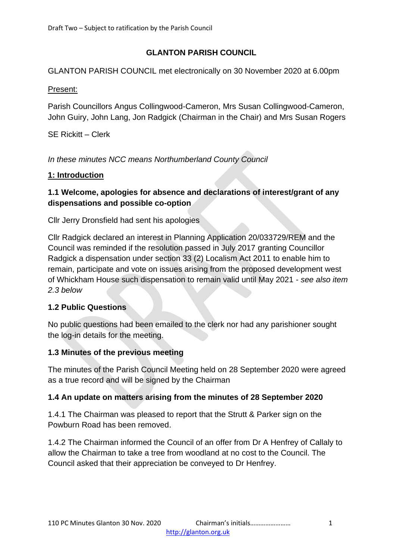# **GLANTON PARISH COUNCIL**

GLANTON PARISH COUNCIL met electronically on 30 November 2020 at 6.00pm

#### Present:

Parish Councillors Angus Collingwood-Cameron, Mrs Susan Collingwood-Cameron, John Guiry, John Lang, Jon Radgick (Chairman in the Chair) and Mrs Susan Rogers

SE Rickitt – Clerk

*In these minutes NCC means Northumberland County Council*

## **1: Introduction**

# **1.1 Welcome, apologies for absence and declarations of interest/grant of any dispensations and possible co-option**

Cllr Jerry Dronsfield had sent his apologies

Cllr Radgick declared an interest in Planning Application 20/033729/REM and the Council was reminded if the resolution passed in July 2017 granting Councillor Radgick a dispensation under section 33 (2) Localism Act 2011 to enable him to remain, participate and vote on issues arising from the proposed development west of Whickham House such dispensation to remain valid until May 2021 - *see also item 2.3 below*

## **1.2 Public Questions**

No public questions had been emailed to the clerk nor had any parishioner sought the log-in details for the meeting.

## **1.3 Minutes of the previous meeting**

The minutes of the Parish Council Meeting held on 28 September 2020 were agreed as a true record and will be signed by the Chairman

## **1.4 An update on matters arising from the minutes of 28 September 2020**

1.4.1 The Chairman was pleased to report that the Strutt & Parker sign on the Powburn Road has been removed.

1.4.2 The Chairman informed the Council of an offer from Dr A Henfrey of Callaly to allow the Chairman to take a tree from woodland at no cost to the Council. The Council asked that their appreciation be conveyed to Dr Henfrey.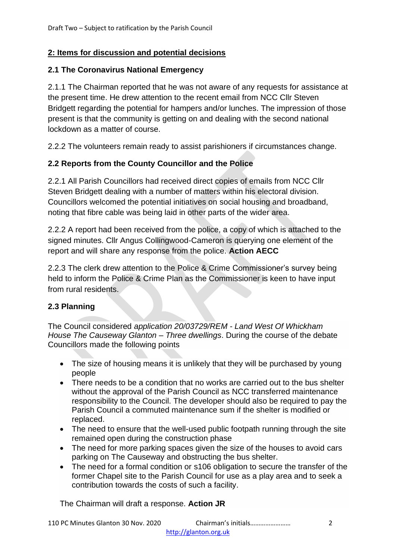## **2: Items for discussion and potential decisions**

#### **2.1 The Coronavirus National Emergency**

2.1.1 The Chairman reported that he was not aware of any requests for assistance at the present time. He drew attention to the recent email from NCC Cllr Steven Bridgett regarding the potential for hampers and/or lunches. The impression of those present is that the community is getting on and dealing with the second national lockdown as a matter of course.

2.2.2 The volunteers remain ready to assist parishioners if circumstances change.

# **2.2 Reports from the County Councillor and the Police**

2.2.1 All Parish Councillors had received direct copies of emails from NCC Cllr Steven Bridgett dealing with a number of matters within his electoral division. Councillors welcomed the potential initiatives on social housing and broadband, noting that fibre cable was being laid in other parts of the wider area.

2.2.2 A report had been received from the police, a copy of which is attached to the signed minutes. Cllr Angus Collingwood-Cameron is querying one element of the report and will share any response from the police. **Action AECC**

2.2.3 The clerk drew attention to the Police & Crime Commissioner's survey being held to inform the Police & Crime Plan as the Commissioner is keen to have input from rural residents.

## **2.3 Planning**

The Council considered *application 20/03729/REM - Land West Of Whickham House The Causeway Glanton – Three dwellings*. During the course of the debate Councillors made the following points

- The size of housing means it is unlikely that they will be purchased by young people
- There needs to be a condition that no works are carried out to the bus shelter without the approval of the Parish Council as NCC transferred maintenance responsibility to the Council. The developer should also be required to pay the Parish Council a commuted maintenance sum if the shelter is modified or replaced.
- The need to ensure that the well-used public footpath running through the site remained open during the construction phase
- The need for more parking spaces given the size of the houses to avoid cars parking on The Causeway and obstructing the bus shelter.
- The need for a formal condition or s106 obligation to secure the transfer of the former Chapel site to the Parish Council for use as a play area and to seek a contribution towards the costs of such a facility.

The Chairman will draft a response. **Action JR**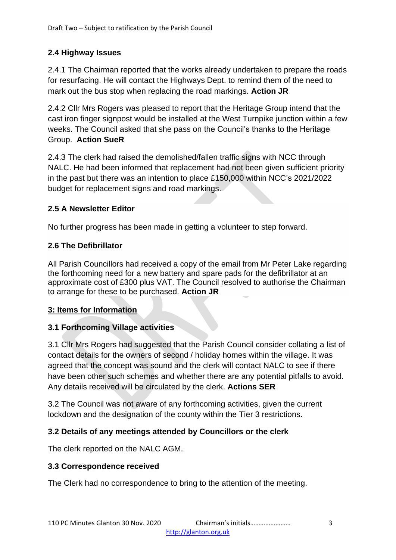# **2.4 Highway Issues**

2.4.1 The Chairman reported that the works already undertaken to prepare the roads for resurfacing. He will contact the Highways Dept. to remind them of the need to mark out the bus stop when replacing the road markings. **Action JR**

2.4.2 Cllr Mrs Rogers was pleased to report that the Heritage Group intend that the cast iron finger signpost would be installed at the West Turnpike junction within a few weeks. The Council asked that she pass on the Council's thanks to the Heritage Group. **Action SueR**

2.4.3 The clerk had raised the demolished/fallen traffic signs with NCC through NALC. He had been informed that replacement had not been given sufficient priority in the past but there was an intention to place £150,000 within NCC's 2021/2022 budget for replacement signs and road markings.

# **2.5 A Newsletter Editor**

No further progress has been made in getting a volunteer to step forward.

# **2.6 The Defibrillator**

All Parish Councillors had received a copy of the email from Mr Peter Lake regarding the forthcoming need for a new battery and spare pads for the defibrillator at an approximate cost of £300 plus VAT. The Council resolved to authorise the Chairman to arrange for these to be purchased. **Action JR**

# **3: Items for Information**

# **3.1 Forthcoming Village activities**

3.1 Cllr Mrs Rogers had suggested that the Parish Council consider collating a list of contact details for the owners of second / holiday homes within the village. It was agreed that the concept was sound and the clerk will contact NALC to see if there have been other such schemes and whether there are any potential pitfalls to avoid. Any details received will be circulated by the clerk. **Actions SER**

3.2 The Council was not aware of any forthcoming activities, given the current lockdown and the designation of the county within the Tier 3 restrictions.

# **3.2 Details of any meetings attended by Councillors or the clerk**

The clerk reported on the NALC AGM.

## **3.3 Correspondence received**

The Clerk had no correspondence to bring to the attention of the meeting.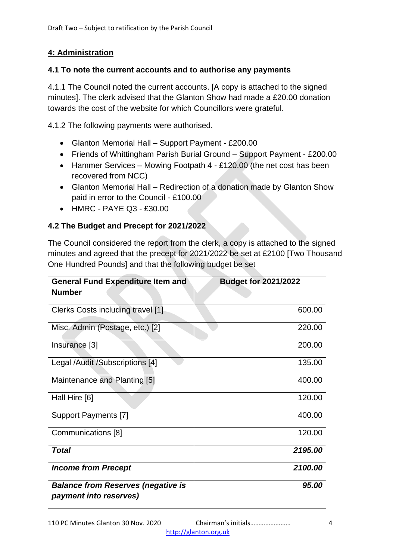# **4: Administration**

#### **4.1 To note the current accounts and to authorise any payments**

4.1.1 The Council noted the current accounts. [A copy is attached to the signed minutes]. The clerk advised that the Glanton Show had made a £20.00 donation towards the cost of the website for which Councillors were grateful.

4.1.2 The following payments were authorised.

- Glanton Memorial Hall Support Payment £200.00
- Friends of Whittingham Parish Burial Ground Support Payment £200.00
- Hammer Services Mowing Footpath 4 £120.00 (the net cost has been recovered from NCC)
- Glanton Memorial Hall Redirection of a donation made by Glanton Show paid in error to the Council - £100.00
- HMRC PAYE Q3 £30.00

## **4.2 The Budget and Precept for 2021/2022**

The Council considered the report from the clerk, a copy is attached to the signed minutes and agreed that the precept for 2021/2022 be set at £2100 [Two Thousand One Hundred Pounds] and that the following budget be set

| <b>General Fund Expenditure Item and</b><br><b>Number</b>           | <b>Budget for 2021/2022</b> |  |
|---------------------------------------------------------------------|-----------------------------|--|
|                                                                     |                             |  |
| Clerks Costs including travel [1]                                   | 600.00                      |  |
| Misc. Admin (Postage, etc.) [2]                                     | 220.00                      |  |
| Insurance [3]                                                       | 200.00                      |  |
| Legal /Audit /Subscriptions [4]                                     | 135.00                      |  |
| Maintenance and Planting [5]                                        | 400.00                      |  |
| Hall Hire [6]                                                       | 120.00                      |  |
| <b>Support Payments [7]</b>                                         | 400.00                      |  |
| Communications [8]                                                  | 120.00                      |  |
| <b>Total</b>                                                        | 2195.00                     |  |
| <b>Income from Precept</b>                                          | 2100.00                     |  |
| <b>Balance from Reserves (negative is</b><br>payment into reserves) | 95.00                       |  |